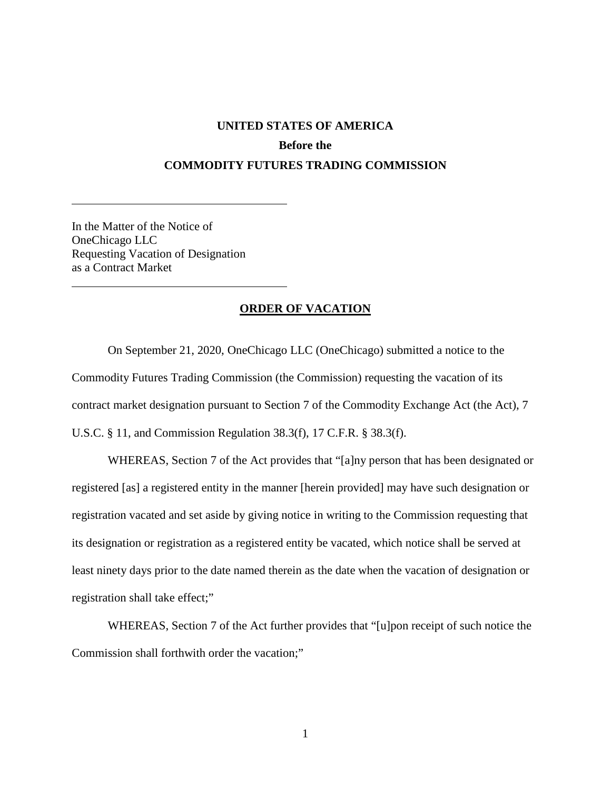## **UNITED STATES OF AMERICA Before the COMMODITY FUTURES TRADING COMMISSION**

In the Matter of the Notice of OneChicago LLC Requesting Vacation of Designation as a Contract Market

 $\overline{a}$ 

 $\overline{a}$ 

## **ORDER OF VACATION**

On September 21, 2020, OneChicago LLC (OneChicago) submitted a notice to the Commodity Futures Trading Commission (the Commission) requesting the vacation of its contract market designation pursuant to Section 7 of the Commodity Exchange Act (the Act), 7 U.S.C. § 11, and Commission Regulation 38.3(f), 17 C.F.R. § 38.3(f).

WHEREAS, Section 7 of the Act provides that "[a]ny person that has been designated or registered [as] a registered entity in the manner [herein provided] may have such designation or registration vacated and set aside by giving notice in writing to the Commission requesting that its designation or registration as a registered entity be vacated, which notice shall be served at least ninety days prior to the date named therein as the date when the vacation of designation or registration shall take effect;"

WHEREAS, Section 7 of the Act further provides that "[u]pon receipt of such notice the Commission shall forthwith order the vacation;"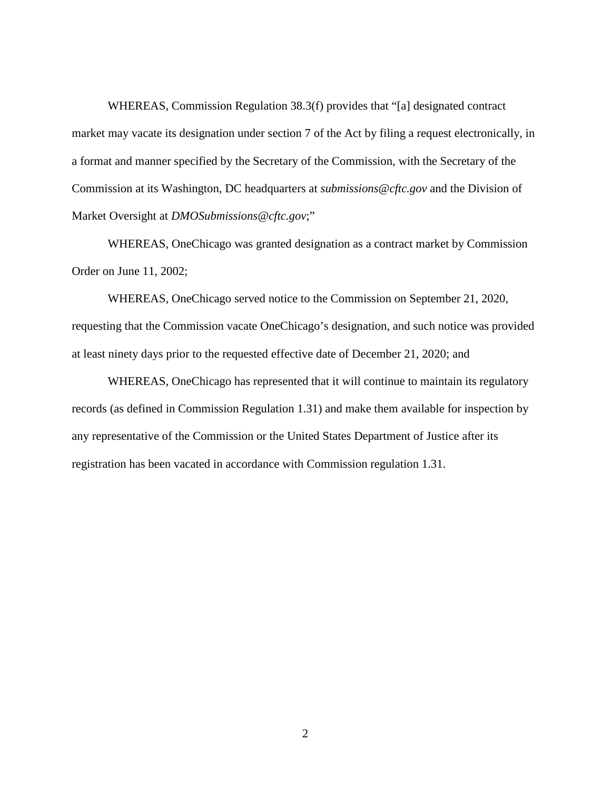WHEREAS, Commission Regulation 38.3(f) provides that "[a] designated contract market may vacate its designation under section 7 of the Act by filing a request electronically, in a format and manner specified by the Secretary of the Commission, with the Secretary of the Commission at its Washington, DC headquarters at *submissions@cftc.gov* and the Division of Market Oversight at *DMOSubmissions@cftc.gov*;"

WHEREAS, OneChicago was granted designation as a contract market by Commission Order on June 11, 2002;

WHEREAS, OneChicago served notice to the Commission on September 21, 2020, requesting that the Commission vacate OneChicago's designation, and such notice was provided at least ninety days prior to the requested effective date of December 21, 2020; and

WHEREAS, OneChicago has represented that it will continue to maintain its regulatory records (as defined in Commission Regulation 1.31) and make them available for inspection by any representative of the Commission or the United States Department of Justice after its registration has been vacated in accordance with Commission regulation 1.31.